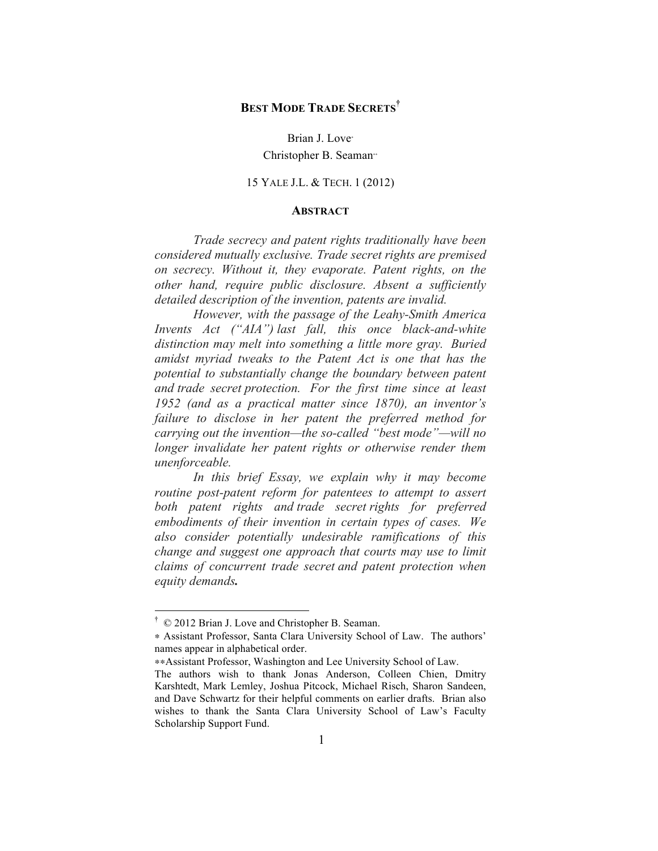# **BEST MODE TRADE SECRETS†**

Brian J. Love<sup>∗</sup> Christopher B. Seaman∗∗

15 YALE J.L. & TECH. 1 (2012)

#### **ABSTRACT**

*Trade secrecy and patent rights traditionally have been considered mutually exclusive. Trade secret rights are premised on secrecy. Without it, they evaporate. Patent rights, on the other hand, require public disclosure. Absent a sufficiently detailed description of the invention, patents are invalid.*

*However, with the passage of the Leahy-Smith America Invents Act ("AIA") last fall, this once black-and-white distinction may melt into something a little more gray. Buried amidst myriad tweaks to the Patent Act is one that has the potential to substantially change the boundary between patent and trade secret protection. For the first time since at least 1952 (and as a practical matter since 1870), an inventor's failure to disclose in her patent the preferred method for carrying out the invention—the so-called "best mode"—will no longer invalidate her patent rights or otherwise render them unenforceable.* 

*In this brief Essay, we explain why it may become routine post-patent reform for patentees to attempt to assert both patent rights and trade secret rights for preferred embodiments of their invention in certain types of cases. We also consider potentially undesirable ramifications of this change and suggest one approach that courts may use to limit claims of concurrent trade secret and patent protection when equity demands.*

 <sup>†</sup> © 2012 Brian J. Love and Christopher B. Seaman.

<sup>∗</sup> Assistant Professor, Santa Clara University School of Law. The authors' names appear in alphabetical order.

<sup>∗∗</sup>Assistant Professor, Washington and Lee University School of Law.

The authors wish to thank Jonas Anderson, Colleen Chien, Dmitry Karshtedt, Mark Lemley, Joshua Pitcock, Michael Risch, Sharon Sandeen, and Dave Schwartz for their helpful comments on earlier drafts. Brian also wishes to thank the Santa Clara University School of Law's Faculty Scholarship Support Fund.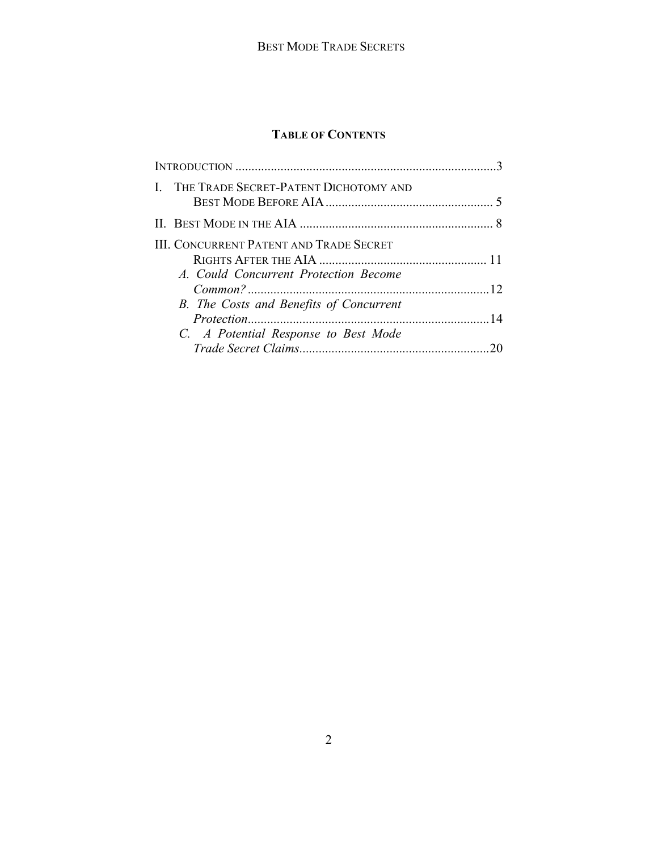# **TABLE OF CONTENTS**

|  | I. THE TRADE SECRET-PATENT DICHOTOMY AND                                         |  |
|--|----------------------------------------------------------------------------------|--|
|  |                                                                                  |  |
|  | III. CONCURRENT PATENT AND TRADE SECRET<br>A. Could Concurrent Protection Become |  |
|  |                                                                                  |  |
|  | B. The Costs and Benefits of Concurrent                                          |  |
|  | C. A Potential Response to Best Mode                                             |  |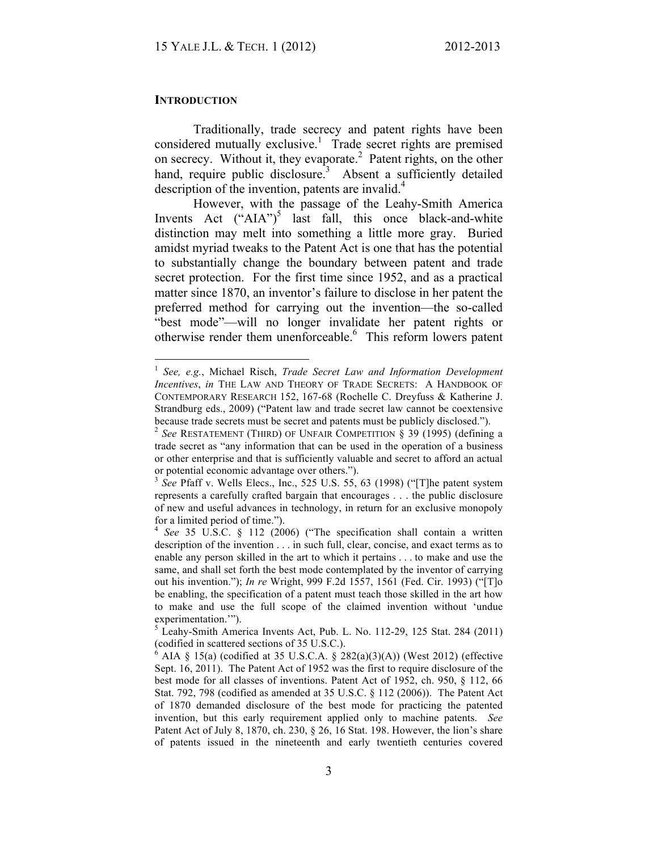#### **INTRODUCTION**

Traditionally, trade secrecy and patent rights have been considered mutually exclusive.<sup>1</sup> Trade secret rights are premised on secrecy. Without it, they evaporate.<sup>2</sup> Patent rights, on the other hand, require public disclosure.<sup>3</sup> Absent a sufficiently detailed description of the invention, patents are invalid.<sup>4</sup>

However, with the passage of the Leahy-Smith America Invents Act  $("AIA")^5$  last fall, this once black-and-white distinction may melt into something a little more gray. Buried amidst myriad tweaks to the Patent Act is one that has the potential to substantially change the boundary between patent and trade secret protection. For the first time since 1952, and as a practical matter since 1870, an inventor's failure to disclose in her patent the preferred method for carrying out the invention—the so-called "best mode"—will no longer invalidate her patent rights or otherwise render them unenforceable.<sup>6</sup> This reform lowers patent

 <sup>1</sup> *See, e.g.*, Michael Risch, *Trade Secret Law and Information Development Incentives*, *in* THE LAW AND THEORY OF TRADE SECRETS: A HANDBOOK OF CONTEMPORARY RESEARCH 152, 167-68 (Rochelle C. Dreyfuss & Katherine J. Strandburg eds., 2009) ("Patent law and trade secret law cannot be coextensive because trade secrets must be secret and patents must be publicly disclosed.").

<sup>2</sup> *See* RESTATEMENT (THIRD) OF UNFAIR COMPETITION § 39 (1995) (defining a trade secret as "any information that can be used in the operation of a business or other enterprise and that is sufficiently valuable and secret to afford an actual or potential economic advantage over others.").

<sup>&</sup>lt;sup>3</sup> *See* Pfaff v. Wells Elecs., Inc., 525 U.S. 55, 63 (1998) ("The patent system represents a carefully crafted bargain that encourages . . . the public disclosure of new and useful advances in technology, in return for an exclusive monopoly for a limited period of time.").

<sup>4</sup> *See* 35 U.S.C. § 112 (2006) ("The specification shall contain a written description of the invention . . . in such full, clear, concise, and exact terms as to enable any person skilled in the art to which it pertains . . . to make and use the same, and shall set forth the best mode contemplated by the inventor of carrying out his invention."); *In re* Wright, 999 F.2d 1557, 1561 (Fed. Cir. 1993) ("[T]o be enabling, the specification of a patent must teach those skilled in the art how to make and use the full scope of the claimed invention without 'undue experimentation.'").

 $<sup>5</sup>$  Leahy-Smith America Invents Act, Pub. L. No. 112-29, 125 Stat. 284 (2011)</sup> (codified in scattered sections of 35 U.S.C.).

<sup>6</sup> AIA § 15(a) (codified at 35 U.S.C.A. § 282(a)(3)(A)) (West 2012) (effective Sept. 16, 2011). The Patent Act of 1952 was the first to require disclosure of the best mode for all classes of inventions. Patent Act of 1952, ch. 950, § 112, 66 Stat. 792, 798 (codified as amended at 35 U.S.C. § 112 (2006)). The Patent Act of 1870 demanded disclosure of the best mode for practicing the patented invention, but this early requirement applied only to machine patents. *See*  Patent Act of July 8, 1870, ch. 230, § 26, 16 Stat. 198. However, the lion's share of patents issued in the nineteenth and early twentieth centuries covered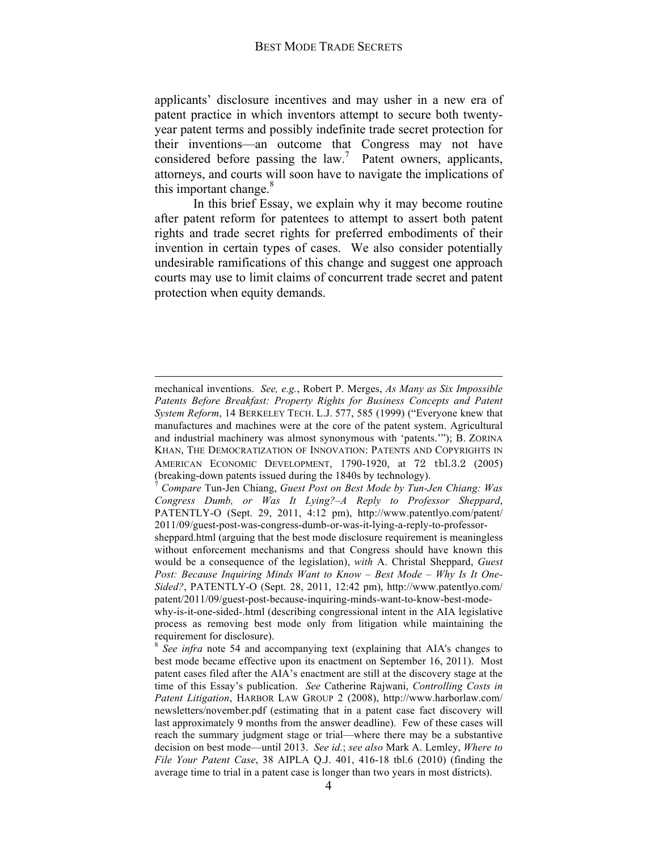applicants' disclosure incentives and may usher in a new era of patent practice in which inventors attempt to secure both twentyyear patent terms and possibly indefinite trade secret protection for their inventions—an outcome that Congress may not have considered before passing the  $law$ .<sup>7</sup> Patent owners, applicants, attorneys, and courts will soon have to navigate the implications of this important change. $8$ 

In this brief Essay, we explain why it may become routine after patent reform for patentees to attempt to assert both patent rights and trade secret rights for preferred embodiments of their invention in certain types of cases. We also consider potentially undesirable ramifications of this change and suggest one approach courts may use to limit claims of concurrent trade secret and patent protection when equity demands.

 $\overline{a}$ 

mechanical inventions. *See, e.g.*, Robert P. Merges, *As Many as Six Impossible*  Patents Before Breakfast: Property Rights for Business Concepts and Patent *System Reform*, 14 BERKELEY TECH. L.J. 577, 585 (1999) ("Everyone knew that manufactures and machines were at the core of the patent system. Agricultural and industrial machinery was almost synonymous with 'patents.'"); B. ZORINA KHAN, THE DEMOCRATIZATION OF INNOVATION: PATENTS AND COPYRIGHTS IN AMERICAN ECONOMIC DEVELOPMENT, 1790-1920, at 72 tbl.3.2 (2005) (breaking-down patents issued during the 1840s by technology). <sup>7</sup> *Compare* Tun-Jen Chiang, *Guest Post on Best Mode by Tun-Jen Chiang: Was* 

*Congress Dumb, or Was It Lying?–A Reply to Professor Sheppard*, PATENTLY-O (Sept. 29, 2011, 4:12 pm), http://www.patentlyo.com/patent/ 2011/09/guest-post-was-congress-dumb-or-was-it-lying-a-reply-to-professor-

sheppard.html (arguing that the best mode disclosure requirement is meaningless without enforcement mechanisms and that Congress should have known this would be a consequence of the legislation), *with* A. Christal Sheppard, *Guest Post: Because Inquiring Minds Want to Know – Best Mode – Why Is It One-Sided?*, PATENTLY-O (Sept. 28, 2011, 12:42 pm), http://www.patentlyo.com/ patent/2011/09/guest-post-because-inquiring-minds-want-to-know-best-mode-

why-is-it-one-sided-.html (describing congressional intent in the AIA legislative process as removing best mode only from litigation while maintaining the requirement for disclosure). <sup>8</sup> *See infra* note 54 and accompanying text (explaining that AIA's changes to

best mode became effective upon its enactment on September 16, 2011). Most patent cases filed after the AIA's enactment are still at the discovery stage at the time of this Essay's publication. *See* Catherine Rajwani, *Controlling Costs in Patent Litigation*, HARBOR LAW GROUP 2 (2008), http://www.harborlaw.com/ newsletters/november.pdf (estimating that in a patent case fact discovery will last approximately 9 months from the answer deadline). Few of these cases will reach the summary judgment stage or trial—where there may be a substantive decision on best mode—until 2013. *See id.*; *see also* Mark A. Lemley, *Where to File Your Patent Case*, 38 AIPLA Q.J. 401, 416-18 tbl.6 (2010) (finding the average time to trial in a patent case is longer than two years in most districts).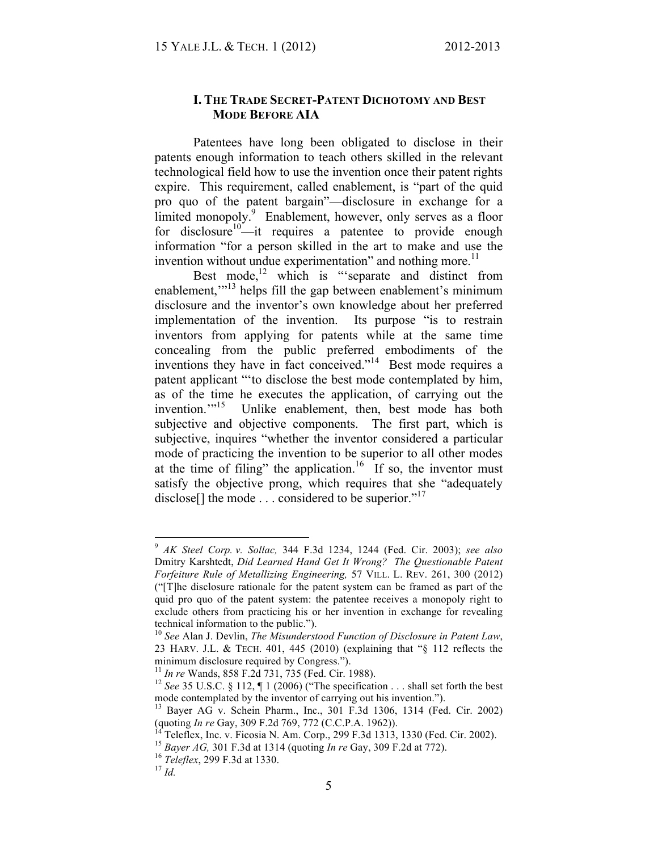# **I. THE TRADE SECRET-PATENT DICHOTOMY AND BEST MODE BEFORE AIA**

Patentees have long been obligated to disclose in their patents enough information to teach others skilled in the relevant technological field how to use the invention once their patent rights expire. This requirement, called enablement, is "part of the quid pro quo of the patent bargain"—disclosure in exchange for a limited monopoly.<sup>9</sup> Enablement, however, only serves as a floor for disclosure<sup>10</sup>—it requires a patentee to provide enough information "for a person skilled in the art to make and use the invention without undue experimentation" and nothing more.<sup>11</sup>

Best mode, $^{12}$  which is "'separate and distinct from enablement,"<sup>13</sup> helps fill the gap between enablement's minimum disclosure and the inventor's own knowledge about her preferred implementation of the invention. Its purpose "is to restrain inventors from applying for patents while at the same time concealing from the public preferred embodiments of the inventions they have in fact conceived."<sup>14</sup> Best mode requires a patent applicant "'to disclose the best mode contemplated by him, as of the time he executes the application, of carrying out the invention."<sup>15</sup> Unlike enablement, then, best mode has both subjective and objective components. The first part, which is subjective, inquires "whether the inventor considered a particular mode of practicing the invention to be superior to all other modes at the time of filing" the application.<sup>16</sup> If so, the inventor must satisfy the objective prong, which requires that she "adequately disclose. the mode  $\ldots$  considered to be superior.<sup> $17$ </sup>

 <sup>9</sup> *AK Steel Corp. v. Sollac,* 344 F.3d 1234, 1244 (Fed. Cir. 2003); *see also* Dmitry Karshtedt, *Did Learned Hand Get It Wrong? The Questionable Patent Forfeiture Rule of Metallizing Engineering,* 57 VILL. L. REV. 261, 300 (2012) ("[T]he disclosure rationale for the patent system can be framed as part of the quid pro quo of the patent system: the patentee receives a monopoly right to exclude others from practicing his or her invention in exchange for revealing technical information to the public."). <sup>10</sup> *See* Alan J. Devlin, *The Misunderstood Function of Disclosure in Patent Law*,

<sup>23</sup> HARV. J.L. & TECH. 401, 445 (2010) (explaining that "§ 112 reflects the minimum disclosure required by Congress.").<br> $\frac{11}{2}$  In re Wands, 858 F.2d 731, 735 (Fed. Cir. 1988).

<sup>&</sup>lt;sup>12</sup> *See* 35 U.S.C. § 112,  $\P$  1 (2006) ("The specification . . . shall set forth the best

mode contemplated by the inventor of carrying out his invention.").<br><sup>13</sup> Bayer AG v. Schein Pharm., Inc., 301 F.3d 1306, 1314 (Fed. Cir. 2002)<br>(quoting *In re* Gay, 309 F.2d 769, 772 (C.C.P.A. 1962)).

<sup>&</sup>lt;sup>14</sup> Teleflex, Inc. v. Ficosia N. Am. Corp., 299 F.3d 1313, 1330 (Fed. Cir. 2002).<br><sup>15</sup> Bayer AG, 301 F.3d at 1314 (quoting *In re* Gay, 309 F.2d at 772).<br><sup>16</sup> Teleflex, 299 F.3d at 1330.<br><sup>17</sup> Id.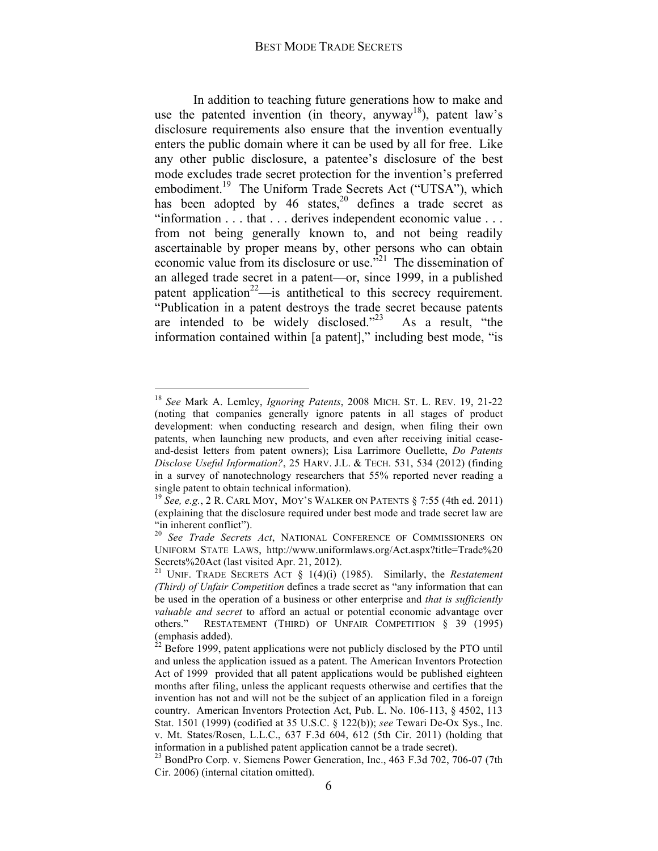In addition to teaching future generations how to make and use the patented invention (in theory, anyway<sup>18</sup>), patent law's disclosure requirements also ensure that the invention eventually enters the public domain where it can be used by all for free. Like any other public disclosure, a patentee's disclosure of the best mode excludes trade secret protection for the invention's preferred embodiment.<sup>19</sup> The Uniform Trade Secrets Act ("UTSA"), which has been adopted by 46 states,  $20$  defines a trade secret as "information . . . that . . . derives independent economic value . . . from not being generally known to, and not being readily ascertainable by proper means by, other persons who can obtain economic value from its disclosure or use. $\cdot$ <sup>21</sup> The dissemination of an alleged trade secret in a patent—or, since 1999, in a published patent application<sup>22</sup>—is antithetical to this secrecy requirement. "Publication in a patent destroys the trade secret because patents are intended to be widely disclosed." $23$  As a result, "the information contained within [a patent]," including best mode, "is

 <sup>18</sup> *See* Mark A. Lemley, *Ignoring Patents*, 2008 MICH. ST. L. REV. 19, 21-22 (noting that companies generally ignore patents in all stages of product development: when conducting research and design, when filing their own patents, when launching new products, and even after receiving initial ceaseand-desist letters from patent owners); Lisa Larrimore Ouellette, *Do Patents Disclose Useful Information?*, 25 HARV. J.L. & TECH. 531, 534 (2012) (finding in a survey of nanotechnology researchers that 55% reported never reading a single patent to obtain technical information).

<sup>19</sup> *See, e.g.*, 2 R. CARL MOY, MOY'S WALKER ON PATENTS § 7:55 (4th ed. 2011) (explaining that the disclosure required under best mode and trade secret law are

<sup>&</sup>quot;in inherent conflict"). <sup>20</sup> *See Trade Secrets Act*, NATIONAL CONFERENCE OF COMMISSIONERS ON UNIFORM STATE LAWS, http://www.uniformlaws.org/Act.aspx?title=Trade%20

Secrets%20Act (last visited Apr. 21, 2012). <sup>21</sup> UNIF. TRADE SECRETS ACT § 1(4)(i) (1985). Similarly, the *Restatement (Third) of Unfair Competition* defines a trade secret as "any information that can be used in the operation of a business or other enterprise and *that is sufficiently valuable and secret* to afford an actual or potential economic advantage over others." RESTATEMENT (THIRD) OF UNFAIR COMPETITION § 39 (1995) (emphasis added).

 $2<sup>2</sup>$  Before 1999, patent applications were not publicly disclosed by the PTO until and unless the application issued as a patent. The American Inventors Protection Act of 1999 provided that all patent applications would be published eighteen months after filing, unless the applicant requests otherwise and certifies that the invention has not and will not be the subject of an application filed in a foreign country.American Inventors Protection Act, Pub. L. No. 106-113, § 4502, 113 Stat. 1501 (1999) (codified at 35 U.S.C. § 122(b)); *see* Tewari De-Ox Sys., Inc. v. Mt. States/Rosen, L.L.C., 637 F.3d 604, 612 (5th Cir. 2011) (holding that information in a published patent application cannot be a trade secret). 23 BondPro Corp. v. Siemens Power Generation, Inc., 463 F.3d 702, 706-07 (7th

Cir. 2006) (internal citation omitted).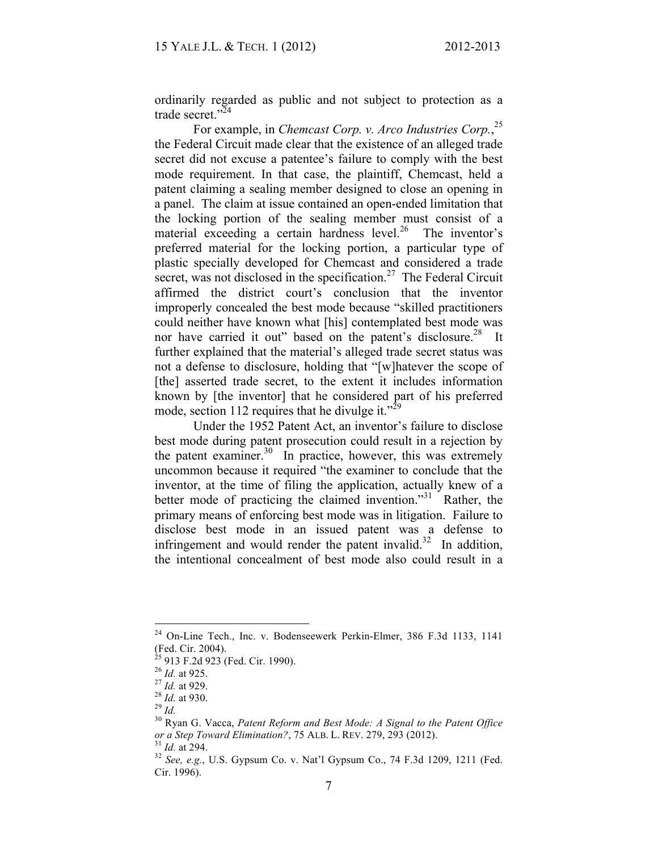ordinarily regarded as public and not subject to protection as a trade secret."<sup>24</sup>

For example, in *Chemcast Corp. v. Arco Industries Corp.*, 25 the Federal Circuit made clear that the existence of an alleged trade secret did not excuse a patentee's failure to comply with the best mode requirement. In that case, the plaintiff, Chemcast, held a patent claiming a sealing member designed to close an opening in a panel. The claim at issue contained an open-ended limitation that the locking portion of the sealing member must consist of a material exceeding a certain hardness level. $26$  The inventor's preferred material for the locking portion, a particular type of plastic specially developed for Chemcast and considered a trade secret, was not disclosed in the specification.<sup>27</sup> The Federal Circuit affirmed the district court's conclusion that the inventor improperly concealed the best mode because "skilled practitioners could neither have known what [his] contemplated best mode was nor have carried it out" based on the patent's disclosure.<sup>28</sup> It further explained that the material's alleged trade secret status was not a defense to disclosure, holding that "[w]hatever the scope of [the] asserted trade secret, to the extent it includes information known by [the inventor] that he considered part of his preferred mode, section 112 requires that he divulge it."<sup>29</sup>

Under the 1952 Patent Act, an inventor's failure to disclose best mode during patent prosecution could result in a rejection by the patent examiner. $30\,$  In practice, however, this was extremely uncommon because it required "the examiner to conclude that the inventor, at the time of filing the application, actually knew of a better mode of practicing the claimed invention."<sup>31</sup> Rather, the primary means of enforcing best mode was in litigation. Failure to disclose best mode in an issued patent was a defense to infringement and would render the patent invalid.<sup>32</sup> In addition, the intentional concealment of best mode also could result in a

 $24$  On-Line Tech., Inc. v. Bodenseewerk Perkin-Elmer, 386 F.3d 1133, 1141 (Fed. Cir. 2004).

<sup>&</sup>lt;sup>25</sup> 913 F.2d 923 (Fed. Cir. 1990).<br>
<sup>26</sup> *Id.* at 925.<br>
<sup>27</sup> *Id.* at 929.<br>
<sup>28</sup> *Id.* at 930.<br>
<sup>29</sup> *Id.* 30 Ryan G. Vacca, *Patent Reform and Best Mode: A Signal to the Patent Office or a Step Toward Elimination?*, 75 ALB. L. REV. 279, 293 (2012).<br><sup>31</sup> *Id.* at 294.<br><sup>32</sup> *See, e.g.*, U.S. Gypsum Co. v. Nat'l Gypsum Co., 74 F.3d 1209, 1211 (Fed.

Cir. 1996).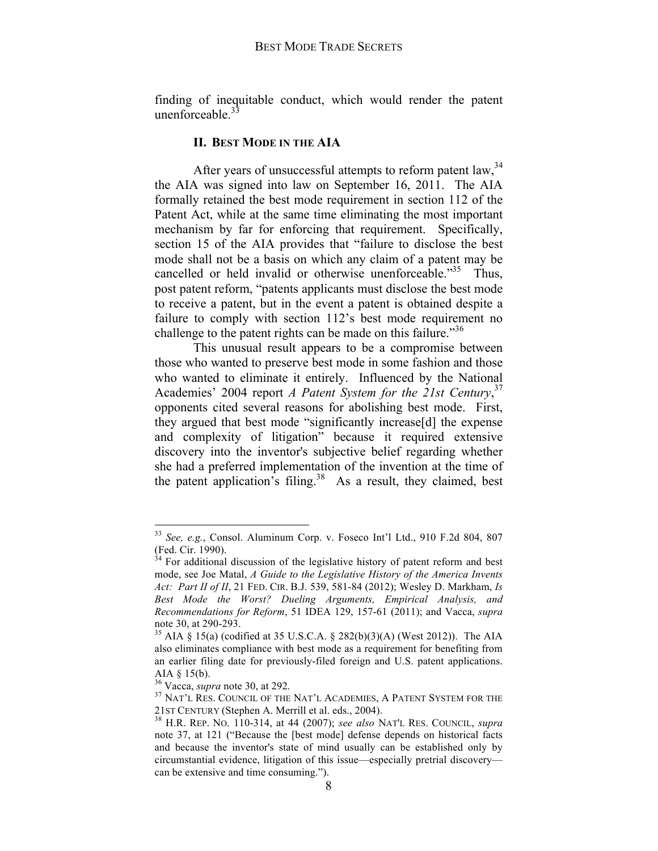finding of inequitable conduct, which would render the patent unenforceable. $\frac{3}{2}$ 

### **II. BEST MODE IN THE AIA**

After years of unsuccessful attempts to reform patent law, <sup>34</sup> the AIA was signed into law on September 16, 2011. The AIA formally retained the best mode requirement in section 112 of the Patent Act, while at the same time eliminating the most important mechanism by far for enforcing that requirement. Specifically, section 15 of the AIA provides that "failure to disclose the best mode shall not be a basis on which any claim of a patent may be cancelled or held invalid or otherwise unenforceable.<sup>35</sup> Thus, post patent reform, "patents applicants must disclose the best mode to receive a patent, but in the event a patent is obtained despite a failure to comply with section 112's best mode requirement no challenge to the patent rights can be made on this failure.<sup>356</sup>

This unusual result appears to be a compromise between those who wanted to preserve best mode in some fashion and those who wanted to eliminate it entirely. Influenced by the National Academies' 2004 report *A Patent System for the 21st Century*, 37 opponents cited several reasons for abolishing best mode. First, they argued that best mode "significantly increase[d] the expense and complexity of litigation" because it required extensive discovery into the inventor's subjective belief regarding whether she had a preferred implementation of the invention at the time of the patent application's filing.<sup>38</sup> As a result, they claimed, best

 <sup>33</sup> *See, e.g.*, Consol. Aluminum Corp. v. Foseco Int'l Ltd., 910 F.2d 804, 807  $($ Fed. Cir. 1990).

<sup>34</sup> For additional discussion of the legislative history of patent reform and best mode, see Joe Matal, *A Guide to the Legislative History of the America Invents Act: Part II of II*, 21 FED. CIR. B.J. 539, 581-84 (2012); Wesley D. Markham, *Is Best Mode the Worst? Dueling Arguments, Empirical Analysis, and Recommendations for Reform*, 51 IDEA 129, 157-61 (2011); and Vacca, *supra* 

note 30, at 290-293.<br><sup>35</sup> AIA § 15(a) (codified at 35 U.S.C.A. § 282(b)(3)(A) (West 2012)). The AIA also eliminates compliance with best mode as a requirement for benefiting from an earlier filing date for previously-filed foreign and U.S. patent applications. AIA § 15(b).<br> $36$  Vacca, *supra* note 30, at 292.

<sup>&</sup>lt;sup>37</sup> NAT'L RES. COUNCIL OF THE NAT'L ACADEMIES, A PATENT SYSTEM FOR THE 21ST CENTURY (Stephen A. Merrill et al. eds., 2004).

<sup>&</sup>lt;sup>38</sup> H.R. REP. No. 110-314, at 44 (2007); *see also* NAT'L RES. COUNCIL, *supra* note 37, at 121 ("Because the [best mode] defense depends on historical facts and because the inventor's state of mind usually can be established only by circumstantial evidence, litigation of this issue—especially pretrial discovery can be extensive and time consuming.").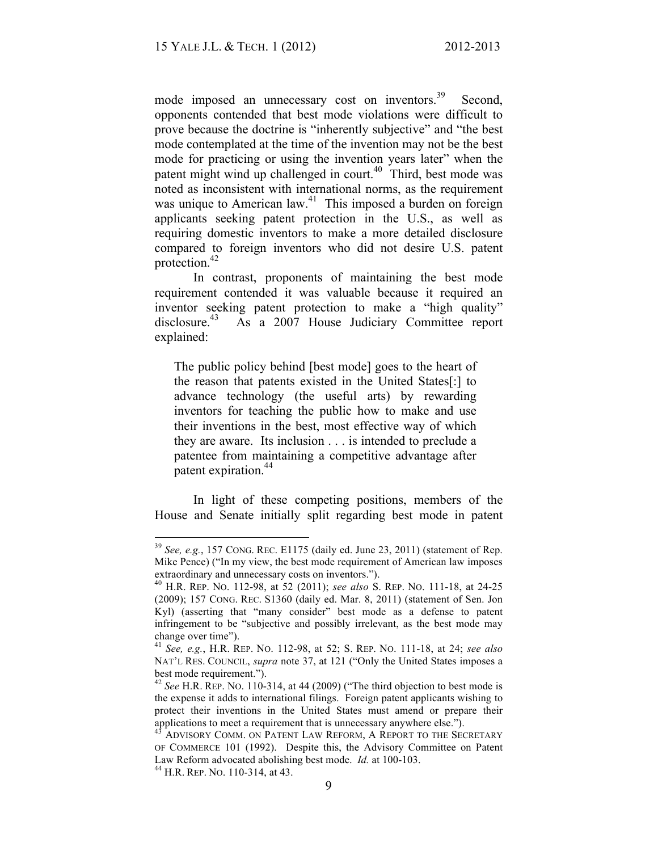mode imposed an unnecessary cost on inventors.<sup>39</sup> Second, opponents contended that best mode violations were difficult to prove because the doctrine is "inherently subjective" and "the best mode contemplated at the time of the invention may not be the best mode for practicing or using the invention years later" when the patent might wind up challenged in court.<sup>40</sup> Third, best mode was noted as inconsistent with international norms, as the requirement was unique to American law.<sup>41</sup> This imposed a burden on foreign applicants seeking patent protection in the U.S., as well as requiring domestic inventors to make a more detailed disclosure compared to foreign inventors who did not desire U.S. patent protection.42

In contrast, proponents of maintaining the best mode requirement contended it was valuable because it required an inventor seeking patent protection to make a "high quality" disclosure.<sup>43</sup> As a 2007 House Judiciary Committee report explained:

The public policy behind [best mode] goes to the heart of the reason that patents existed in the United States[:] to advance technology (the useful arts) by rewarding inventors for teaching the public how to make and use their inventions in the best, most effective way of which they are aware. Its inclusion . . . is intended to preclude a patentee from maintaining a competitive advantage after patent expiration.<sup>44</sup>

In light of these competing positions, members of the House and Senate initially split regarding best mode in patent

 <sup>39</sup> *See, e.g.*, 157 CONG. REC. E1175 (daily ed. June 23, 2011) (statement of Rep. Mike Pence) ("In my view, the best mode requirement of American law imposes

extraordinary and unnecessary costs on inventors.").<br><sup>40</sup> H.R. REP. NO. 112-98, at 52 (2011); *see also* S. REP. NO. 111-18, at 24-25 (2009); 157 CONG. REC. S1360 (daily ed. Mar. 8, 2011) (statement of Sen. Jon Kyl) (asserting that "many consider" best mode as a defense to patent infringement to be "subjective and possibly irrelevant, as the best mode may change over time").

<sup>41</sup> *See, e.g.*, H.R. REP. NO. 112-98, at 52; S. REP. NO. 111-18, at 24; *see also* NAT'L RES. COUNCIL, *supra* note 37, at 121 ("Only the United States imposes a best mode requirement.").

<sup>42</sup> *See* H.R. REP. NO. 110-314, at 44 (2009) ("The third objection to best mode is the expense it adds to international filings. Foreign patent applicants wishing to protect their inventions in the United States must amend or prepare their applications to meet a requirement that is unnecessary anywhere else.").

ADVISORY COMM. ON PATENT LAW REFORM, A REPORT TO THE SECRETARY OF COMMERCE 101 (1992). Despite this, the Advisory Committee on Patent Law Reform advocated abolishing best mode. *Id.* at 100-103. <sup>44</sup> H.R. REP. NO. 110-314, at 43.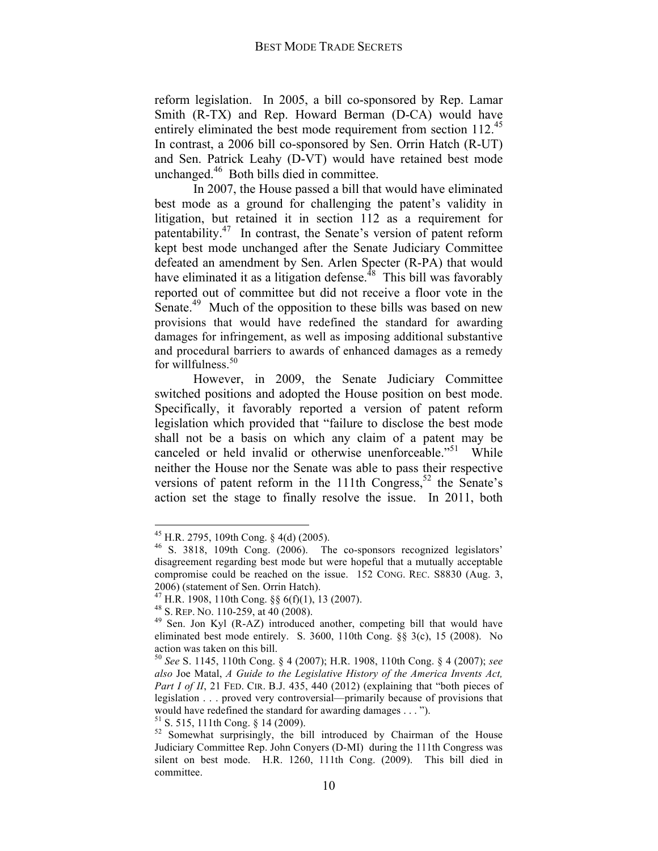reform legislation. In 2005, a bill co-sponsored by Rep. Lamar Smith (R-TX) and Rep. Howard Berman (D-CA) would have entirely eliminated the best mode requirement from section 112.<sup>45</sup> In contrast, a 2006 bill co-sponsored by Sen. Orrin Hatch (R-UT) and Sen. Patrick Leahy (D-VT) would have retained best mode unchanged.46 Both bills died in committee.

In 2007, the House passed a bill that would have eliminated best mode as a ground for challenging the patent's validity in litigation, but retained it in section 112 as a requirement for patentability.47 In contrast, the Senate's version of patent reform kept best mode unchanged after the Senate Judiciary Committee defeated an amendment by Sen. Arlen Specter (R-PA) that would have eliminated it as a litigation defense.<sup> $48$ </sup> This bill was favorably reported out of committee but did not receive a floor vote in the Senate.<sup>49</sup> Much of the opposition to these bills was based on new provisions that would have redefined the standard for awarding damages for infringement, as well as imposing additional substantive and procedural barriers to awards of enhanced damages as a remedy for willfulness.<sup>50</sup>

However, in 2009, the Senate Judiciary Committee switched positions and adopted the House position on best mode. Specifically, it favorably reported a version of patent reform legislation which provided that "failure to disclose the best mode shall not be a basis on which any claim of a patent may be canceled or held invalid or otherwise unenforceable.<sup>551</sup> While neither the House nor the Senate was able to pass their respective versions of patent reform in the 111th Congress,<sup>52</sup> the Senate's action set the stage to finally resolve the issue. In 2011, both

<sup>&</sup>lt;sup>45</sup> H.R. 2795, 109th Cong. § 4(d) (2005).<br><sup>46</sup> S. 3818, 109th Cong. (2006). The co-sponsors recognized legislators' disagreement regarding best mode but were hopeful that a mutually acceptable compromise could be reached on the issue. 152 CONG. REC. S8830 (Aug. 3, 2006) (statement of Sen. Orrin Hatch).<br><sup>47</sup> H.R. 1908, 110th Cong. §§ 6(f)(1), 13 (2007).

<sup>&</sup>lt;sup>48</sup> S. Rep. No. 110-259, at 40 (2008).<br><sup>49</sup> Sen. Jon Kyl (R-AZ) introduced another, competing bill that would have eliminated best mode entirely. S. 3600, 110th Cong. §§ 3(c), 15 (2008). No action was taken on this bill.

<sup>50</sup> *See* S. 1145, 110th Cong. § 4 (2007); H.R. 1908, 110th Cong. § 4 (2007); *see also* Joe Matal, *A Guide to the Legislative History of the America Invents Act, Part I of II*, 21 FED. CIR. B.J. 435, 440 (2012) (explaining that "both pieces of legislation . . . proved very controversial—primarily because of provisions that would have redefined the standard for awarding damages . . . ").

<sup>&</sup>lt;sup>51</sup> S. 515, 111th Cong. § 14 (2009). <sup>52</sup> Somewhat surprisingly, the bill introduced by Chairman of the House Judiciary Committee Rep. John Conyers (D-MI) during the 111th Congress was silent on best mode. H.R. 1260, 111th Cong. (2009). This bill died in committee.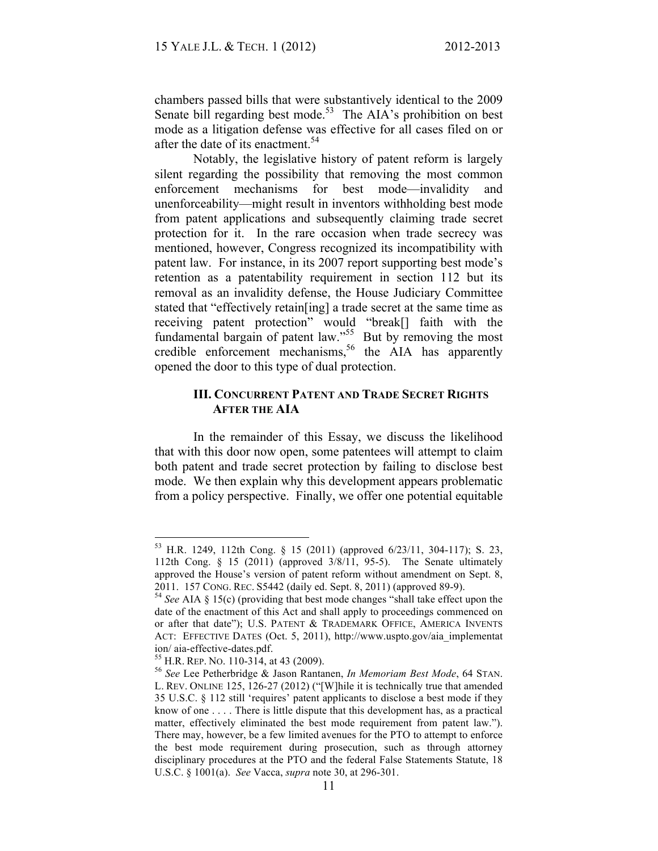chambers passed bills that were substantively identical to the 2009 Senate bill regarding best mode.<sup>53</sup> The AIA's prohibition on best mode as a litigation defense was effective for all cases filed on or after the date of its enactment.<sup>54</sup>

Notably, the legislative history of patent reform is largely silent regarding the possibility that removing the most common enforcement mechanisms for best mode—invalidity and unenforceability—might result in inventors withholding best mode from patent applications and subsequently claiming trade secret protection for it. In the rare occasion when trade secrecy was mentioned, however, Congress recognized its incompatibility with patent law. For instance, in its 2007 report supporting best mode's retention as a patentability requirement in section 112 but its removal as an invalidity defense, the House Judiciary Committee stated that "effectively retain[ing] a trade secret at the same time as receiving patent protection" would "break[] faith with the fundamental bargain of patent law."<sup>55</sup> But by removing the most credible enforcement mechanisms,<sup>56</sup> the AIA has apparently opened the door to this type of dual protection.

# **III. CONCURRENT PATENT AND TRADE SECRET RIGHTS AFTER THE AIA**

In the remainder of this Essay, we discuss the likelihood that with this door now open, some patentees will attempt to claim both patent and trade secret protection by failing to disclose best mode. We then explain why this development appears problematic from a policy perspective. Finally, we offer one potential equitable

 <sup>53</sup> H.R. 1249, 112th Cong. § 15 (2011) (approved 6/23/11, 304-117); S. 23, 112th Cong. § 15 (2011) (approved 3/8/11, 95-5). The Senate ultimately approved the House's version of patent reform without amendment on Sept. 8, 2011. 157 CONG. REC. S5442 (daily ed. Sept. 8, 2011) (approved 89-9). <sup>54</sup> *See* AIA § 15(c) (providing that best mode changes "shall take effect upon the

date of the enactment of this Act and shall apply to proceedings commenced on or after that date"); U.S. PATENT & TRADEMARK OFFICE, AMERICA INVENTS ACT: EFFECTIVE DATES (Oct. 5, 2011), http://www.uspto.gov/aia\_implementat ion/ aia-effective-dates.pdf. <sup>55</sup> H.R. REP. NO. 110-314, at 43 (2009). <sup>56</sup> *See* Lee Petherbridge & Jason Rantanen, *In Memoriam Best Mode*, 64 STAN.

L. REV. ONLINE 125, 126-27 (2012) ("[W]hile it is technically true that amended 35 U.S.C. § 112 still 'requires' patent applicants to disclose a best mode if they know of one . . . . There is little dispute that this development has, as a practical matter, effectively eliminated the best mode requirement from patent law."). There may, however, be a few limited avenues for the PTO to attempt to enforce the best mode requirement during prosecution, such as through attorney disciplinary procedures at the PTO and the federal False Statements Statute, 18 U.S.C. § 1001(a). *See* Vacca, *supra* note 30, at 296-301.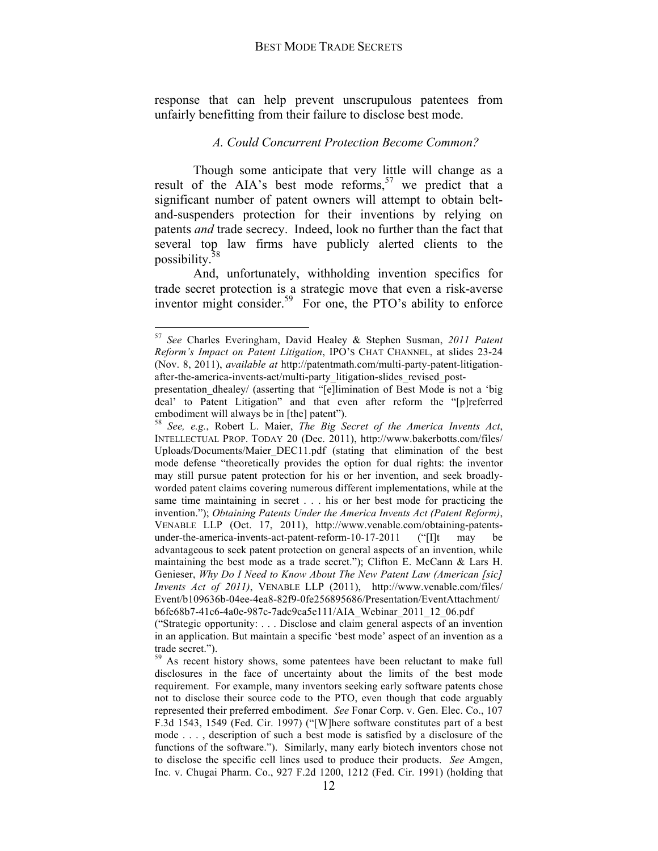response that can help prevent unscrupulous patentees from unfairly benefitting from their failure to disclose best mode.

### *A. Could Concurrent Protection Become Common?*

Though some anticipate that very little will change as a result of the AIA's best mode reforms,  $57$  we predict that a significant number of patent owners will attempt to obtain beltand-suspenders protection for their inventions by relying on patents *and* trade secrecy. Indeed, look no further than the fact that several top law firms have publicly alerted clients to the possibility.<sup>5</sup>

And, unfortunately, withholding invention specifics for trade secret protection is a strategic move that even a risk-averse inventor might consider.<sup>59</sup> For one, the PTO's ability to enforce

 <sup>57</sup> *See* Charles Everingham, David Healey & Stephen Susman, *2011 Patent Reform's Impact on Patent Litigation*, IPO'S CHAT CHANNEL, at slides 23-24 (Nov. 8, 2011), *available at* http://patentmath.com/multi-party-patent-litigationafter-the-america-invents-act/multi-party\_litigation-slides\_revised\_post-

presentation\_dhealey/ (asserting that "[e]limination of Best Mode is not a 'big deal' to Patent Litigation" and that even after reform the "[p]referred embodiment will always be in [the] patent"). <sup>58</sup> *See, e.g.*, Robert L. Maier, *The Big Secret of the America Invents Act*,

INTELLECTUAL PROP. TODAY 20 (Dec. 2011), http://www.bakerbotts.com/files/ Uploads/Documents/Maier\_DEC11.pdf (stating that elimination of the best mode defense "theoretically provides the option for dual rights: the inventor may still pursue patent protection for his or her invention, and seek broadlyworded patent claims covering numerous different implementations, while at the same time maintaining in secret . . . his or her best mode for practicing the invention."); *Obtaining Patents Under the America Invents Act (Patent Reform)*, VENABLE LLP (Oct. 17, 2011), http://www.venable.com/obtaining-patentsunder-the-america-invents-act-patent-reform-10-17-2011 ("IIt may be advantageous to seek patent protection on general aspects of an invention, while maintaining the best mode as a trade secret."); Clifton E. McCann & Lars H. Genieser, *Why Do I Need to Know About The New Patent Law (American [sic] Invents Act of 2011)*, VENABLE LLP (2011), http://www.venable.com/files/ Event/b109636b-04ee-4ea8-82f9-0fe256895686/Presentation/EventAttachment/ b6fe68b7-41c6-4a0e-987c-7adc9ca5e111/AIA\_Webinar\_2011\_12\_06.pdf

<sup>(&</sup>quot;Strategic opportunity: . . . Disclose and claim general aspects of an invention in an application. But maintain a specific 'best mode' aspect of an invention as a trade secret.").

<sup>&</sup>lt;sup>59</sup> As recent history shows, some patentees have been reluctant to make full disclosures in the face of uncertainty about the limits of the best mode requirement. For example, many inventors seeking early software patents chose not to disclose their source code to the PTO, even though that code arguably represented their preferred embodiment. *See* Fonar Corp. v. Gen. Elec. Co., 107 F.3d 1543, 1549 (Fed. Cir. 1997) ("[W]here software constitutes part of a best mode . . . , description of such a best mode is satisfied by a disclosure of the functions of the software."). Similarly, many early biotech inventors chose not to disclose the specific cell lines used to produce their products. *See* Amgen, Inc. v. Chugai Pharm. Co., 927 F.2d 1200, 1212 (Fed. Cir. 1991) (holding that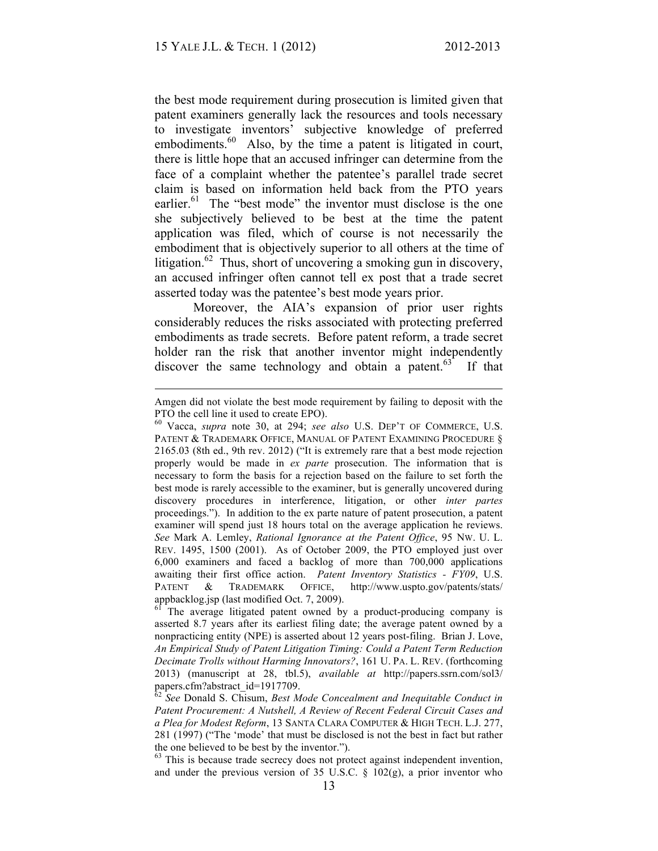$\overline{a}$ 

the best mode requirement during prosecution is limited given that patent examiners generally lack the resources and tools necessary to investigate inventors' subjective knowledge of preferred embodiments.<sup>60</sup> Also, by the time a patent is litigated in court, there is little hope that an accused infringer can determine from the face of a complaint whether the patentee's parallel trade secret claim is based on information held back from the PTO years earlier.<sup>61</sup> The "best mode" the inventor must disclose is the one she subjectively believed to be best at the time the patent application was filed, which of course is not necessarily the embodiment that is objectively superior to all others at the time of litigation.<sup>62</sup> Thus, short of uncovering a smoking gun in discovery, an accused infringer often cannot tell ex post that a trade secret asserted today was the patentee's best mode years prior.

Moreover, the AIA's expansion of prior user rights considerably reduces the risks associated with protecting preferred embodiments as trade secrets. Before patent reform, a trade secret holder ran the risk that another inventor might independently discover the same technology and obtain a patent.<sup>63</sup> If that

Amgen did not violate the best mode requirement by failing to deposit with the PTO the cell line it used to create EPO).<br><sup>60</sup> Vacca, *supra* note 30, at 294; *see also* U.S. DEP'T OF COMMERCE, U.S.

PATENT & TRADEMARK OFFICE, MANUAL OF PATENT EXAMINING PROCEDURE § 2165.03 (8th ed., 9th rev. 2012) ("It is extremely rare that a best mode rejection properly would be made in *ex parte* prosecution. The information that is necessary to form the basis for a rejection based on the failure to set forth the best mode is rarely accessible to the examiner, but is generally uncovered during discovery procedures in interference, litigation, or other *inter partes* proceedings."). In addition to the ex parte nature of patent prosecution, a patent examiner will spend just 18 hours total on the average application he reviews. *See* Mark A. Lemley, *Rational Ignorance at the Patent Office*, 95 NW. U. L. REV. 1495, 1500 (2001). As of October 2009, the PTO employed just over 6,000 examiners and faced a backlog of more than 700,000 applications awaiting their first office action. *Patent Inventory Statistics - FY09*, U.S. PATENT & TRADEMARK OFFICE, http://www.uspto.gov/patents/stats/ appbacklog.jsp (last modified Oct. 7, 2009).<br><sup>61</sup> The average litigated patent owned by a product-producing company is

asserted 8.7 years after its earliest filing date; the average patent owned by a nonpracticing entity (NPE) is asserted about 12 years post-filing. Brian J. Love, *An Empirical Study of Patent Litigation Timing: Could a Patent Term Reduction Decimate Trolls without Harming Innovators?*, 161 U. PA. L. REV. (forthcoming 2013) (manuscript at 28, tbl.5), *available at* http://papers.ssrn.com/sol3/ papers.cfm?abstract\_id=1917709.<br><sup>62</sup> *See* Donald S. Chisum, *Best Mode Concealment and Inequitable Conduct in* 

*Patent Procurement: A Nutshell, A Review of Recent Federal Circuit Cases and a Plea for Modest Reform*, 13 SANTA CLARA COMPUTER & HIGH TECH. L.J. 277, 281 (1997) ("The 'mode' that must be disclosed is not the best in fact but rather the one believed to be best by the inventor.").  $\frac{63}{100}$  This is because trade secrecy does not protect against independent invention,

and under the previous version of 35 U.S.C. § 102(g), a prior inventor who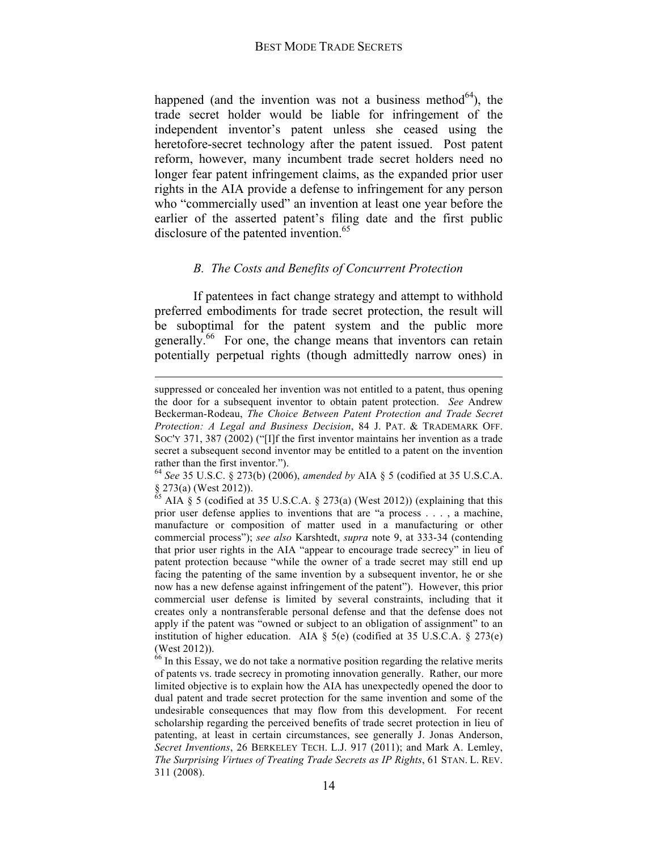happened (and the invention was not a business method<sup> $64$ </sup>), the trade secret holder would be liable for infringement of the independent inventor's patent unless she ceased using the heretofore-secret technology after the patent issued. Post patent reform, however, many incumbent trade secret holders need no longer fear patent infringement claims, as the expanded prior user rights in the AIA provide a defense to infringement for any person who "commercially used" an invention at least one year before the earlier of the asserted patent's filing date and the first public disclosure of the patented invention.<sup>65</sup>

## *B. The Costs and Benefits of Concurrent Protection*

If patentees in fact change strategy and attempt to withhold preferred embodiments for trade secret protection, the result will be suboptimal for the patent system and the public more generally.<sup>66</sup> For one, the change means that inventors can retain potentially perpetual rights (though admittedly narrow ones) in

suppressed or concealed her invention was not entitled to a patent, thus opening the door for a subsequent inventor to obtain patent protection. *See* Andrew Beckerman-Rodeau, *The Choice Between Patent Protection and Trade Secret Protection: A Legal and Business Decision*, 84 J. PAT. & TRADEMARK OFF. SOC'Y 371, 387 (2002) ("[I]f the first inventor maintains her invention as a trade secret a subsequent second inventor may be entitled to a patent on the invention rather than the first inventor.").

<sup>64</sup> *See* 35 U.S.C. § 273(b) (2006), *amended by* AIA § 5 (codified at 35 U.S.C.A.  $\S$  273(a) (West 2012)).

AIA § 5 (codified at 35 U.S.C.A. § 273(a) (West 2012)) (explaining that this prior user defense applies to inventions that are "a process . . . , a machine, manufacture or composition of matter used in a manufacturing or other commercial process"); *see also* Karshtedt, *supra* note 9, at 333-34 (contending that prior user rights in the AIA "appear to encourage trade secrecy" in lieu of patent protection because "while the owner of a trade secret may still end up facing the patenting of the same invention by a subsequent inventor, he or she now has a new defense against infringement of the patent"). However, this prior commercial user defense is limited by several constraints, including that it creates only a nontransferable personal defense and that the defense does not apply if the patent was "owned or subject to an obligation of assignment" to an institution of higher education. AIA  $\S$  5(e) (codified at 35 U.S.C.A.  $\S$  273(e) (West 2012)).

<sup>&</sup>lt;sup>66</sup> In this Essay, we do not take a normative position regarding the relative merits of patents vs. trade secrecy in promoting innovation generally. Rather, our more limited objective is to explain how the AIA has unexpectedly opened the door to dual patent and trade secret protection for the same invention and some of the undesirable consequences that may flow from this development. For recent scholarship regarding the perceived benefits of trade secret protection in lieu of patenting, at least in certain circumstances, see generally J. Jonas Anderson, *Secret Inventions*, 26 BERKELEY TECH. L.J. 917 (2011); and Mark A. Lemley, *The Surprising Virtues of Treating Trade Secrets as IP Rights*, 61 STAN. L. REV. 311 (2008).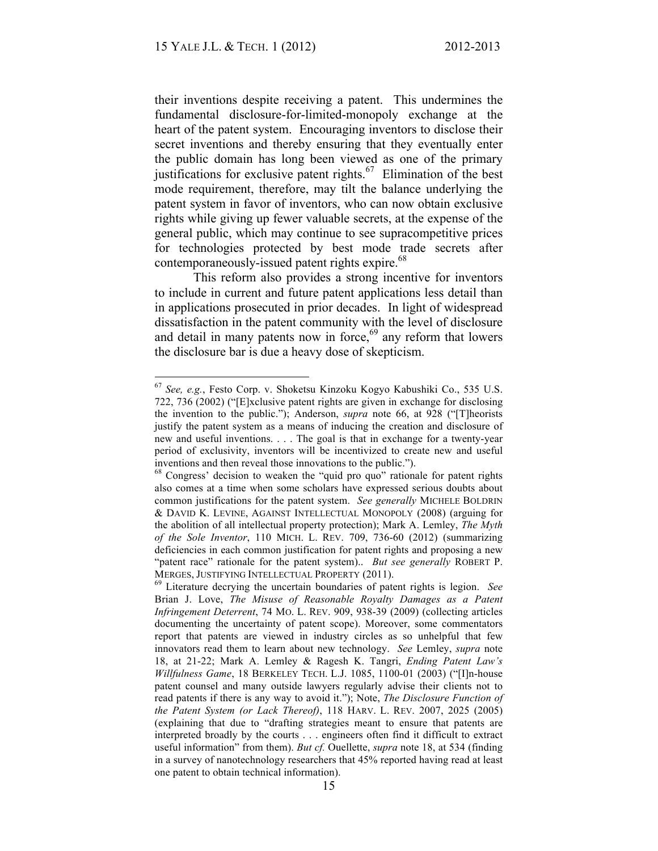their inventions despite receiving a patent. This undermines the fundamental disclosure-for-limited-monopoly exchange at the heart of the patent system. Encouraging inventors to disclose their secret inventions and thereby ensuring that they eventually enter the public domain has long been viewed as one of the primary justifications for exclusive patent rights.<sup>67</sup> Elimination of the best mode requirement, therefore, may tilt the balance underlying the patent system in favor of inventors, who can now obtain exclusive rights while giving up fewer valuable secrets, at the expense of the general public, which may continue to see supracompetitive prices for technologies protected by best mode trade secrets after contemporaneously-issued patent rights expire.<sup>68</sup>

This reform also provides a strong incentive for inventors to include in current and future patent applications less detail than in applications prosecuted in prior decades. In light of widespread dissatisfaction in the patent community with the level of disclosure and detail in many patents now in force,  $69$  any reform that lowers the disclosure bar is due a heavy dose of skepticism.

 <sup>67</sup> *See, e.g.*, Festo Corp. v. Shoketsu Kinzoku Kogyo Kabushiki Co., 535 U.S. 722, 736 (2002) ("[E]xclusive patent rights are given in exchange for disclosing the invention to the public."); Anderson, *supra* note 66, at 928 ("[T]heorists justify the patent system as a means of inducing the creation and disclosure of new and useful inventions. . . . The goal is that in exchange for a twenty-year period of exclusivity, inventors will be incentivized to create new and useful inventions and then reveal those innovations to the public.").<br><sup>68</sup> Congress' decision to weaken the "quid pro quo" rationale for patent rights

also comes at a time when some scholars have expressed serious doubts about common justifications for the patent system. *See generally* MICHELE BOLDRIN & DAVID K. LEVINE, AGAINST INTELLECTUAL MONOPOLY (2008) (arguing for the abolition of all intellectual property protection); Mark A. Lemley, *The Myth of the Sole Inventor*, 110 MICH. L. REV. 709, 736-60 (2012) (summarizing deficiencies in each common justification for patent rights and proposing a new "patent race" rationale for the patent system).. *But see generally* ROBERT P. MERGES, JUSTIFYING INTELLECTUAL PROPERTY (2011). <sup>69</sup> Literature decrying the uncertain boundaries of patent rights is legion. *See*

Brian J. Love, *The Misuse of Reasonable Royalty Damages as a Patent Infringement Deterrent*, 74 MO. L. REV. 909, 938-39 (2009) (collecting articles documenting the uncertainty of patent scope). Moreover, some commentators report that patents are viewed in industry circles as so unhelpful that few innovators read them to learn about new technology. *See* Lemley, *supra* note 18, at 21-22; Mark A. Lemley & Ragesh K. Tangri, *Ending Patent Law's Willfulness Game*, 18 BERKELEY TECH. L.J. 1085, 1100-01 (2003) ("[I]n-house patent counsel and many outside lawyers regularly advise their clients not to read patents if there is any way to avoid it."); Note, *The Disclosure Function of the Patent System (or Lack Thereof)*, 118 HARV. L. REV. 2007, 2025 (2005) (explaining that due to "drafting strategies meant to ensure that patents are interpreted broadly by the courts . . . engineers often find it difficult to extract useful information" from them). *But cf.* Ouellette, *supra* note 18, at 534 (finding in a survey of nanotechnology researchers that 45% reported having read at least one patent to obtain technical information).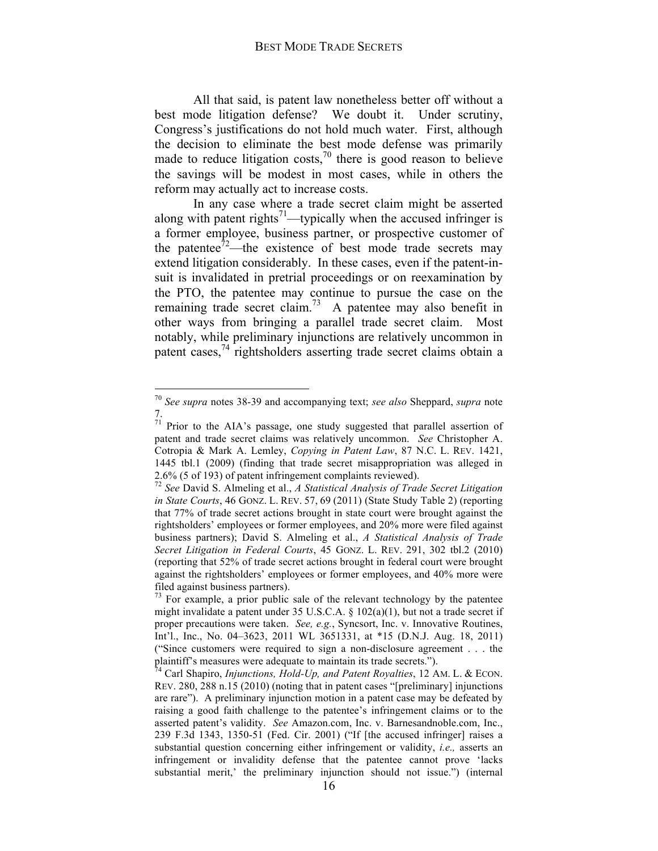All that said, is patent law nonetheless better off without a best mode litigation defense? We doubt it. Under scrutiny, Congress's justifications do not hold much water. First, although the decision to eliminate the best mode defense was primarily made to reduce litigation costs,<sup>70</sup> there is good reason to believe the savings will be modest in most cases, while in others the reform may actually act to increase costs.

In any case where a trade secret claim might be asserted along with patent rights<sup>71</sup>—typically when the accused infringer is a former employee, business partner, or prospective customer of the patentee<sup>72</sup>—the existence of best mode trade secrets may extend litigation considerably. In these cases, even if the patent-insuit is invalidated in pretrial proceedings or on reexamination by the PTO, the patentee may continue to pursue the case on the remaining trade secret claim.<sup>73</sup> A patentee may also benefit in other ways from bringing a parallel trade secret claim. Most notably, while preliminary injunctions are relatively uncommon in patent cases,  $^{74}$  rightsholders asserting trade secret claims obtain a

 <sup>70</sup> *See supra* notes 38-39 and accompanying text; *see also* Sheppard, *supra* note 7.

 $71$  Prior to the AIA's passage, one study suggested that parallel assertion of patent and trade secret claims was relatively uncommon. *See* Christopher A. Cotropia & Mark A. Lemley, *Copying in Patent Law*, 87 N.C. L. REV. 1421, 1445 tbl.1 (2009) (finding that trade secret misappropriation was alleged in 2.6% (5 of 193) of patent infringement complaints reviewed).

<sup>72</sup> *See* David S. Almeling et al., *A Statistical Analysis of Trade Secret Litigation in State Courts*, 46 GONZ. L. REV. 57, 69 (2011) (State Study Table 2) (reporting that 77% of trade secret actions brought in state court were brought against the rightsholders' employees or former employees, and 20% more were filed against business partners); David S. Almeling et al., *A Statistical Analysis of Trade Secret Litigation in Federal Courts*, 45 GONZ. L. REV. 291, 302 tbl.2 (2010) (reporting that 52% of trade secret actions brought in federal court were brought against the rightsholders' employees or former employees, and 40% more were filed against business partners).  $73 \text{ For example, a prior public sale of the relevant technology by the patente.}$ 

might invalidate a patent under 35 U.S.C.A.  $\S$  102(a)(1), but not a trade secret if proper precautions were taken. *See, e.g.*, Syncsort, Inc. v. Innovative Routines, Int'l., Inc., No. 04–3623, 2011 WL 3651331, at \*15 (D.N.J. Aug. 18, 2011) ("Since customers were required to sign a non-disclosure agreement . . . the plaintiff's measures were adequate to maintain its trade secrets.").<br><sup>74</sup> Carl Shapiro, *Injunctions, Hold-Up, and Patent Royalties*, 12 AM. L. & ECON.

REV. 280, 288 n.15 (2010) (noting that in patent cases "[preliminary] injunctions are rare"). A preliminary injunction motion in a patent case may be defeated by raising a good faith challenge to the patentee's infringement claims or to the asserted patent's validity. *See* Amazon.com, Inc. v. Barnesandnoble.com, Inc., 239 F.3d 1343, 1350-51 (Fed. Cir. 2001) ("If [the accused infringer] raises a substantial question concerning either infringement or validity, *i.e.,* asserts an infringement or invalidity defense that the patentee cannot prove 'lacks substantial merit,' the preliminary injunction should not issue.") (internal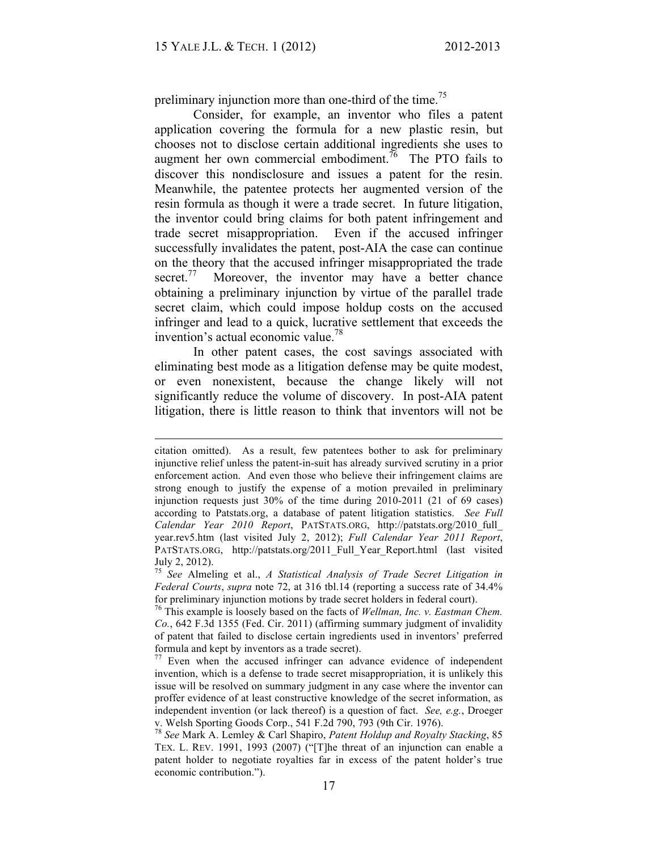preliminary injunction more than one-third of the time.<sup>75</sup>

Consider, for example, an inventor who files a patent application covering the formula for a new plastic resin, but chooses not to disclose certain additional ingredients she uses to augment her own commercial embodiment.<sup>76</sup> The PTO fails to discover this nondisclosure and issues a patent for the resin. Meanwhile, the patentee protects her augmented version of the resin formula as though it were a trade secret. In future litigation, the inventor could bring claims for both patent infringement and trade secret misappropriation. Even if the accused infringer successfully invalidates the patent, post-AIA the case can continue on the theory that the accused infringer misappropriated the trade secret.<sup>77</sup> Moreover, the inventor may have a better chance obtaining a preliminary injunction by virtue of the parallel trade secret claim, which could impose holdup costs on the accused infringer and lead to a quick, lucrative settlement that exceeds the invention's actual economic value.<sup>78</sup>

In other patent cases, the cost savings associated with eliminating best mode as a litigation defense may be quite modest, or even nonexistent, because the change likely will not significantly reduce the volume of discovery. In post-AIA patent litigation, there is little reason to think that inventors will not be

citation omitted). As a result, few patentees bother to ask for preliminary injunctive relief unless the patent-in-suit has already survived scrutiny in a prior enforcement action. And even those who believe their infringement claims are strong enough to justify the expense of a motion prevailed in preliminary injunction requests just 30% of the time during 2010-2011 (21 of 69 cases) according to Patstats.org, a database of patent litigation statistics. *See Full Calendar Year 2010 Report*, PATSTATS.ORG, http://patstats.org/2010\_full\_ year.rev5.htm (last visited July 2, 2012); *Full Calendar Year 2011 Report*, PATSTATS.ORG, http://patstats.org/2011\_Full\_Year\_Report.html (last visited July 2, 2012).

<sup>75</sup> *See* Almeling et al., *A Statistical Analysis of Trade Secret Litigation in Federal Courts*, *supra* note 72, at 316 tbl.14 (reporting a success rate of 34.4% for preliminary injunction motions by trade secret holders in federal court).

<sup>76</sup> This example is loosely based on the facts of *Wellman, Inc. v. Eastman Chem. Co.*, 642 F.3d 1355 (Fed. Cir. 2011) (affirming summary judgment of invalidity of patent that failed to disclose certain ingredients used in inventors' preferred formula and kept by inventors as a trade secret).

 $77$  Even when the accused infringer can advance evidence of independent invention, which is a defense to trade secret misappropriation, it is unlikely this issue will be resolved on summary judgment in any case where the inventor can proffer evidence of at least constructive knowledge of the secret information, as independent invention (or lack thereof) is a question of fact. *See, e.g.*, Droeger

v. Welsh Sporting Goods Corp., 541 F.2d 790, 793 (9th Cir. 1976). <sup>78</sup> *See* Mark A. Lemley & Carl Shapiro, *Patent Holdup and Royalty Stacking*, 85 TEX. L. REV. 1991, 1993 (2007) ("[T]he threat of an injunction can enable a patent holder to negotiate royalties far in excess of the patent holder's true economic contribution.").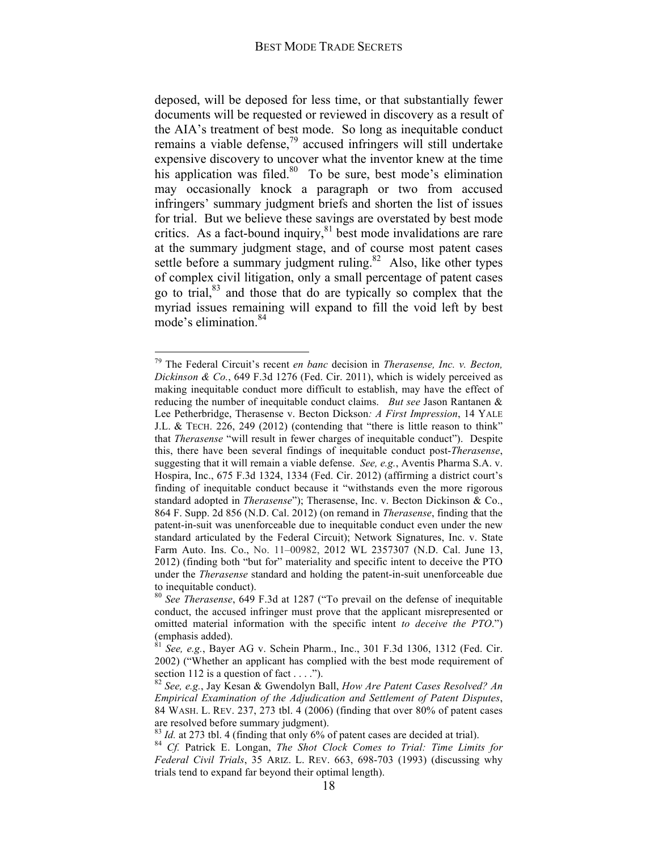deposed, will be deposed for less time, or that substantially fewer documents will be requested or reviewed in discovery as a result of the AIA's treatment of best mode. So long as inequitable conduct remains a viable defense,<sup>79</sup> accused infringers will still undertake expensive discovery to uncover what the inventor knew at the time his application was filed. $80\degree$  To be sure, best mode's elimination may occasionally knock a paragraph or two from accused infringers' summary judgment briefs and shorten the list of issues for trial. But we believe these savings are overstated by best mode critics. As a fact-bound inquiry, $81$  best mode invalidations are rare at the summary judgment stage, and of course most patent cases settle before a summary judgment ruling.<sup>82</sup> Also, like other types of complex civil litigation, only a small percentage of patent cases go to trial,83 and those that do are typically so complex that the myriad issues remaining will expand to fill the void left by best mode's elimination.<sup>84</sup>

 <sup>79</sup> The Federal Circuit's recent *en banc* decision in *Therasense, Inc. v. Becton, Dickinson & Co.*, 649 F.3d 1276 (Fed. Cir. 2011), which is widely perceived as making inequitable conduct more difficult to establish, may have the effect of reducing the number of inequitable conduct claims. *But see* Jason Rantanen & Lee Petherbridge, Therasense v. Becton Dickson*: A First Impression*, 14 YALE J.L. & TECH. 226, 249 (2012) (contending that "there is little reason to think" that *Therasense* "will result in fewer charges of inequitable conduct"). Despite this, there have been several findings of inequitable conduct post-*Therasense*, suggesting that it will remain a viable defense. *See, e.g.*, Aventis Pharma S.A. v. Hospira, Inc., 675 F.3d 1324, 1334 (Fed. Cir. 2012) (affirming a district court's finding of inequitable conduct because it "withstands even the more rigorous standard adopted in *Therasense*"); Therasense, Inc. v. Becton Dickinson & Co., 864 F. Supp. 2d 856 (N.D. Cal. 2012) (on remand in *Therasense*, finding that the patent-in-suit was unenforceable due to inequitable conduct even under the new standard articulated by the Federal Circuit); Network Signatures, Inc. v. State Farm Auto. Ins. Co., No. 11–00982, 2012 WL 2357307 (N.D. Cal. June 13, 2012) (finding both "but for" materiality and specific intent to deceive the PTO under the *Therasense* standard and holding the patent-in-suit unenforceable due to inequitable conduct).

<sup>80</sup> *See Therasense*, 649 F.3d at 1287 ("To prevail on the defense of inequitable conduct, the accused infringer must prove that the applicant misrepresented or omitted material information with the specific intent *to deceive the PTO*.") (emphasis added).

 $\frac{1}{2}$  *See, e.g.*, Bayer AG v. Schein Pharm., Inc., 301 F.3d 1306, 1312 (Fed. Cir. 2002) ("Whether an applicant has complied with the best mode requirement of section 112 is a question of fact . . . .").<br><sup>82</sup> *See, e.g.*, Jay Kesan & Gwendolyn Ball, *How Are Patent Cases Resolved? An* 

*Empirical Examination of the Adjudication and Settlement of Patent Disputes*, 84 WASH. L. REV. 237, 273 tbl. 4 (2006) (finding that over 80% of patent cases are resolved before summary judgment).<br><sup>83</sup> *Id.* at 273 tbl. 4 (finding that only 6% of patent cases are decided at trial).

<sup>&</sup>lt;sup>84</sup> *Cf.* Patrick E. Longan, *The Shot Clock Comes to Trial: Time Limits for Federal Civil Trials*, 35 ARIZ. L. REV. 663, 698-703 (1993) (discussing why trials tend to expand far beyond their optimal length).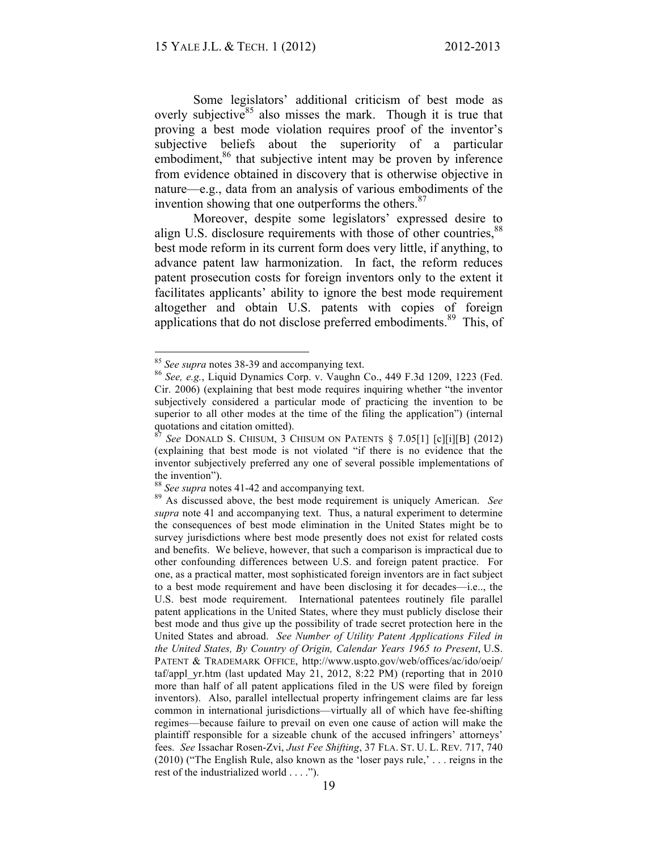Some legislators' additional criticism of best mode as overly subjective<sup>85</sup> also misses the mark. Though it is true that proving a best mode violation requires proof of the inventor's subjective beliefs about the superiority of a particular embodiment,<sup>86</sup> that subjective intent may be proven by inference from evidence obtained in discovery that is otherwise objective in nature—e.g., data from an analysis of various embodiments of the invention showing that one outperforms the others. $87$ 

Moreover, despite some legislators' expressed desire to align U.S. disclosure requirements with those of other countries, <sup>88</sup> best mode reform in its current form does very little, if anything, to advance patent law harmonization. In fact, the reform reduces patent prosecution costs for foreign inventors only to the extent it facilitates applicants' ability to ignore the best mode requirement altogether and obtain U.S. patents with copies of foreign applications that do not disclose preferred embodiments.<sup>89</sup> This, of

<sup>&</sup>lt;sup>85</sup> *See supra* notes 38-39 and accompanying text.<br><sup>86</sup> *See, e.g.*, Liquid Dynamics Corp. v. Vaughn Co., 449 F.3d 1209, 1223 (Fed. Cir. 2006) (explaining that best mode requires inquiring whether "the inventor subjectively considered a particular mode of practicing the invention to be superior to all other modes at the time of the filing the application") (internal quotations and citation omitted).

<sup>87</sup> *See* DONALD S. CHISUM, 3 CHISUM ON PATENTS § 7.05[1] [c][i][B] (2012) (explaining that best mode is not violated "if there is no evidence that the inventor subjectively preferred any one of several possible implementations of

the invention").<br><sup>88</sup> See supra notes 41-42 and accompanying text.

<sup>&</sup>lt;sup>89</sup> As discussed above, the best mode requirement is uniquely American. *See supra* note 41 and accompanying text. Thus, a natural experiment to determine the consequences of best mode elimination in the United States might be to survey jurisdictions where best mode presently does not exist for related costs and benefits. We believe, however, that such a comparison is impractical due to other confounding differences between U.S. and foreign patent practice. For one, as a practical matter, most sophisticated foreign inventors are in fact subject to a best mode requirement and have been disclosing it for decades—i.e.., the U.S. best mode requirement. International patentees routinely file parallel patent applications in the United States, where they must publicly disclose their best mode and thus give up the possibility of trade secret protection here in the United States and abroad. *See Number of Utility Patent Applications Filed in the United States, By Country of Origin, Calendar Years 1965 to Present*, U.S. PATENT & TRADEMARK OFFICE, http://www.uspto.gov/web/offices/ac/ido/oeip/ taf/appl\_yr.htm (last updated May 21, 2012, 8:22 PM) (reporting that in 2010 more than half of all patent applications filed in the US were filed by foreign inventors). Also, parallel intellectual property infringement claims are far less common in international jurisdictions—virtually all of which have fee-shifting regimes—because failure to prevail on even one cause of action will make the plaintiff responsible for a sizeable chunk of the accused infringers' attorneys' fees. *See* Issachar Rosen-Zvi, *Just Fee Shifting*, 37 FLA. ST. U. L. REV. 717, 740 (2010) ("The English Rule, also known as the 'loser pays rule,' . . . reigns in the rest of the industrialized world . . . .").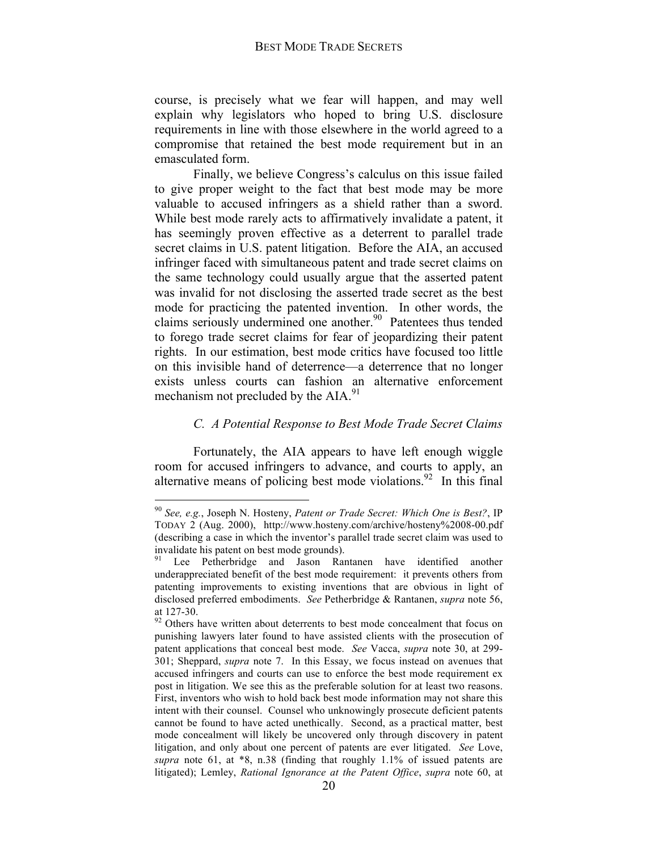course, is precisely what we fear will happen, and may well explain why legislators who hoped to bring U.S. disclosure requirements in line with those elsewhere in the world agreed to a compromise that retained the best mode requirement but in an emasculated form.

Finally, we believe Congress's calculus on this issue failed to give proper weight to the fact that best mode may be more valuable to accused infringers as a shield rather than a sword. While best mode rarely acts to affirmatively invalidate a patent, it has seemingly proven effective as a deterrent to parallel trade secret claims in U.S. patent litigation. Before the AIA, an accused infringer faced with simultaneous patent and trade secret claims on the same technology could usually argue that the asserted patent was invalid for not disclosing the asserted trade secret as the best mode for practicing the patented invention. In other words, the claims seriously undermined one another.<sup>90</sup> Patentees thus tended to forego trade secret claims for fear of jeopardizing their patent rights. In our estimation, best mode critics have focused too little on this invisible hand of deterrence—a deterrence that no longer exists unless courts can fashion an alternative enforcement mechanism not precluded by the AIA.<sup>91</sup>

## *C. A Potential Response to Best Mode Trade Secret Claims*

Fortunately, the AIA appears to have left enough wiggle room for accused infringers to advance, and courts to apply, an alternative means of policing best mode violations.<sup>92</sup> In this final

 <sup>90</sup> *See, e.g.*, Joseph N. Hosteny, *Patent or Trade Secret: Which One is Best?*, IP TODAY 2 (Aug. 2000), http://www.hosteny.com/archive/hosteny%2008-00.pdf (describing a case in which the inventor's parallel trade secret claim was used to invalidate his patent on best mode grounds).

Lee Petherbridge and Jason Rantanen have identified another underappreciated benefit of the best mode requirement: it prevents others from patenting improvements to existing inventions that are obvious in light of disclosed preferred embodiments. *See* Petherbridge & Rantanen, *supra* note 56, at 127-30. <sup>92</sup> Others have written about deterrents to best mode concealment that focus on

punishing lawyers later found to have assisted clients with the prosecution of patent applications that conceal best mode. *See* Vacca, *supra* note 30, at 299- 301; Sheppard, *supra* note 7. In this Essay, we focus instead on avenues that accused infringers and courts can use to enforce the best mode requirement ex post in litigation. We see this as the preferable solution for at least two reasons. First, inventors who wish to hold back best mode information may not share this intent with their counsel. Counsel who unknowingly prosecute deficient patents cannot be found to have acted unethically. Second, as a practical matter, best mode concealment will likely be uncovered only through discovery in patent litigation, and only about one percent of patents are ever litigated. *See* Love, *supra* note 61, at \*8, n.38 (finding that roughly 1.1% of issued patents are litigated); Lemley, *Rational Ignorance at the Patent Office*, *supra* note 60, at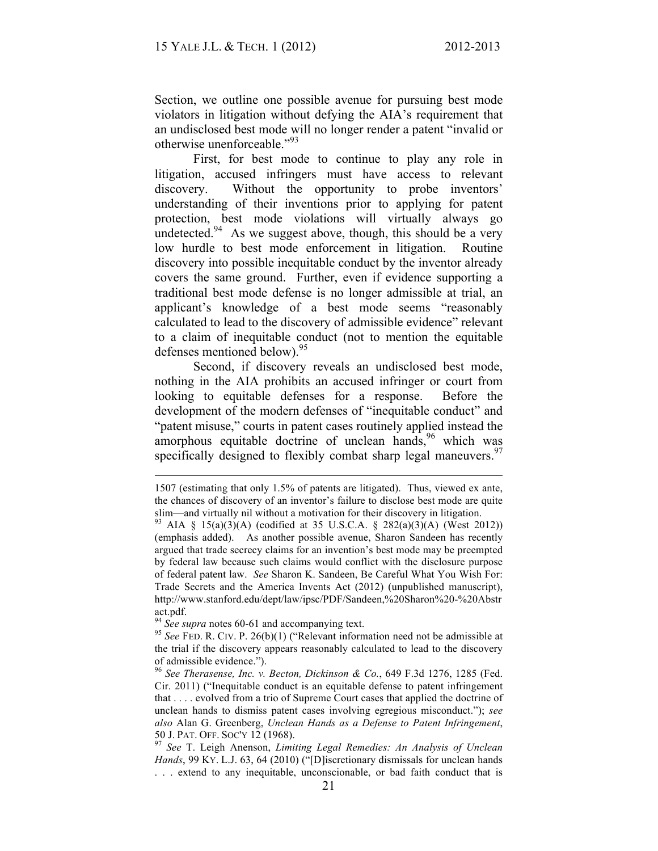Section, we outline one possible avenue for pursuing best mode violators in litigation without defying the AIA's requirement that an undisclosed best mode will no longer render a patent "invalid or otherwise unenforceable."<sup>93</sup>

First, for best mode to continue to play any role in litigation, accused infringers must have access to relevant discovery. Without the opportunity to probe inventors' understanding of their inventions prior to applying for patent protection, best mode violations will virtually always go undetected.<sup>94</sup> As we suggest above, though, this should be a very low hurdle to best mode enforcement in litigation. Routine discovery into possible inequitable conduct by the inventor already covers the same ground. Further, even if evidence supporting a traditional best mode defense is no longer admissible at trial, an applicant's knowledge of a best mode seems "reasonably calculated to lead to the discovery of admissible evidence" relevant to a claim of inequitable conduct (not to mention the equitable defenses mentioned below).  $95$ 

Second, if discovery reveals an undisclosed best mode, nothing in the AIA prohibits an accused infringer or court from looking to equitable defenses for a response. Before the development of the modern defenses of "inequitable conduct" and "patent misuse," courts in patent cases routinely applied instead the amorphous equitable doctrine of unclean hands,  $96$  which was specifically designed to flexibly combat sharp legal maneuvers.<sup>97</sup>

 <sup>1507</sup> (estimating that only 1.5% of patents are litigated). Thus, viewed ex ante, the chances of discovery of an inventor's failure to disclose best mode are quite slim—and virtually nil without a motivation for their discovery in litigation.<br><sup>93</sup> AIA § 15(a)(3)(A) (codified at 35 U.S.C.A. § 282(a)(3)(A) (West 2012))

<sup>(</sup>emphasis added). As another possible avenue, Sharon Sandeen has recently argued that trade secrecy claims for an invention's best mode may be preempted by federal law because such claims would conflict with the disclosure purpose of federal patent law. *See* Sharon K. Sandeen, Be Careful What You Wish For: Trade Secrets and the America Invents Act (2012) (unpublished manuscript), http://www.stanford.edu/dept/law/ipsc/PDF/Sandeen,%20Sharon%20-%20Abstr

act.pdf.<br><sup>94</sup> *See supra* notes 60-61 and accompanying text.<br><sup>95</sup> *See* FED. R. CIV. P. 26(b)(1) ("Relevant information need not be admissible at the trial if the discovery appears reasonably calculated to lead to the discovery of admissible evidence."). <sup>96</sup> *See Therasense, Inc. v. Becton, Dickinson & Co.*, 649 F.3d 1276, 1285 (Fed.

Cir. 2011) ("Inequitable conduct is an equitable defense to patent infringement that . . . . evolved from a trio of Supreme Court cases that applied the doctrine of unclean hands to dismiss patent cases involving egregious misconduct."); *see also* Alan G. Greenberg, *Unclean Hands as a Defense to Patent Infringement*, 50 J. PAT. OFF. SOC'Y 12 (1968). <sup>97</sup> *See* T. Leigh Anenson, *Limiting Legal Remedies: An Analysis of Unclean* 

*Hands*, 99 KY. L.J. 63, 64 (2010) ("[D]iscretionary dismissals for unclean hands . . . extend to any inequitable, unconscionable, or bad faith conduct that is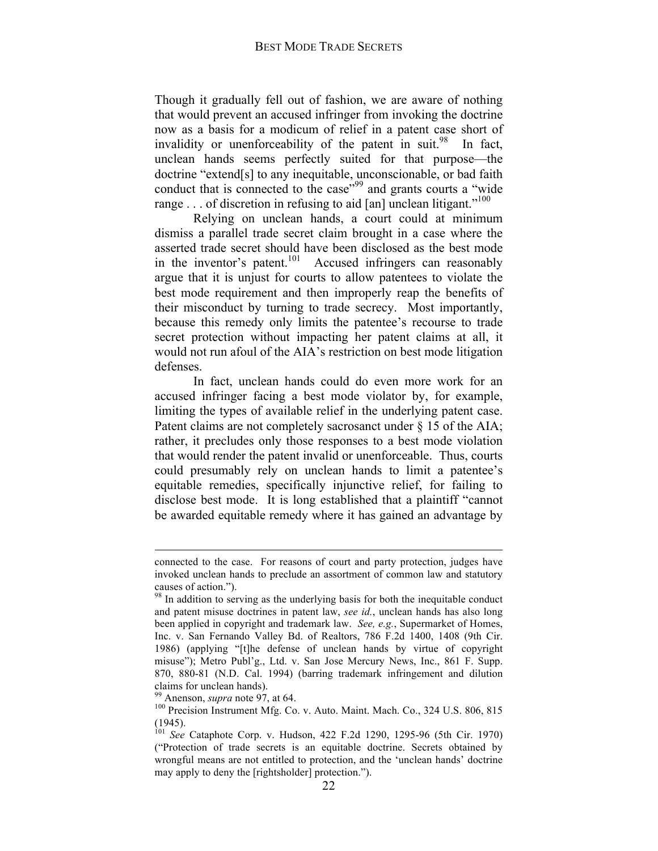Though it gradually fell out of fashion, we are aware of nothing that would prevent an accused infringer from invoking the doctrine now as a basis for a modicum of relief in a patent case short of invalidity or unenforceability of the patent in suit. $98$  In fact, unclean hands seems perfectly suited for that purpose—the doctrine "extend[s] to any inequitable, unconscionable, or bad faith conduct that is connected to the case<sup>"99</sup> and grants courts a "wide" range . . . of discretion in refusing to aid [an] unclean litigant."<sup>100</sup>

Relying on unclean hands, a court could at minimum dismiss a parallel trade secret claim brought in a case where the asserted trade secret should have been disclosed as the best mode in the inventor's patent.<sup>101</sup> Accused infringers can reasonably argue that it is unjust for courts to allow patentees to violate the best mode requirement and then improperly reap the benefits of their misconduct by turning to trade secrecy. Most importantly, because this remedy only limits the patentee's recourse to trade secret protection without impacting her patent claims at all, it would not run afoul of the AIA's restriction on best mode litigation defenses.

In fact, unclean hands could do even more work for an accused infringer facing a best mode violator by, for example, limiting the types of available relief in the underlying patent case. Patent claims are not completely sacrosanct under § 15 of the AIA; rather, it precludes only those responses to a best mode violation that would render the patent invalid or unenforceable. Thus, courts could presumably rely on unclean hands to limit a patentee's equitable remedies, specifically injunctive relief, for failing to disclose best mode. It is long established that a plaintiff "cannot be awarded equitable remedy where it has gained an advantage by

connected to the case. For reasons of court and party protection, judges have invoked unclean hands to preclude an assortment of common law and statutory causes of action.").  $98 \text{ In addition to serving as the underlying basis for both the inequitable conduct.}$ 

and patent misuse doctrines in patent law, *see id.*, unclean hands has also long been applied in copyright and trademark law. *See, e.g.*, Supermarket of Homes, Inc. v. San Fernando Valley Bd. of Realtors, 786 F.2d 1400, 1408 (9th Cir. 1986) (applying "[t]he defense of unclean hands by virtue of copyright misuse"); Metro Publ'g., Ltd. v. San Jose Mercury News, Inc., 861 F. Supp. 870, 880-81 (N.D. Cal. 1994) (barring trademark infringement and dilution

claims for unclean hands).<br><sup>99</sup> Anenson, *supra* note 97, at 64.<br><sup>100</sup> Precision Instrument Mfg. Co. v. Auto. Maint. Mach. Co., 324 U.S. 806, 815 (1945). <sup>101</sup> *See* Cataphote Corp. v. Hudson, 422 F.2d 1290, 1295-96 (5th Cir. 1970)

<sup>(&</sup>quot;Protection of trade secrets is an equitable doctrine. Secrets obtained by wrongful means are not entitled to protection, and the 'unclean hands' doctrine may apply to deny the [rightsholder] protection.").